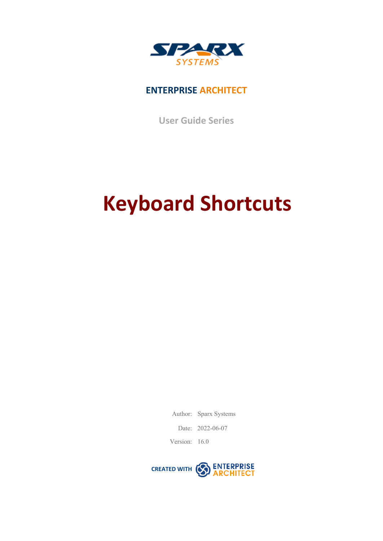

#### **ENTERPRISE ARCHITECT**

**User Guide Series**

# **Keyboard Shortcuts**

Author: Sparx Systems

Date: 2022-06-07

Version: 16.0

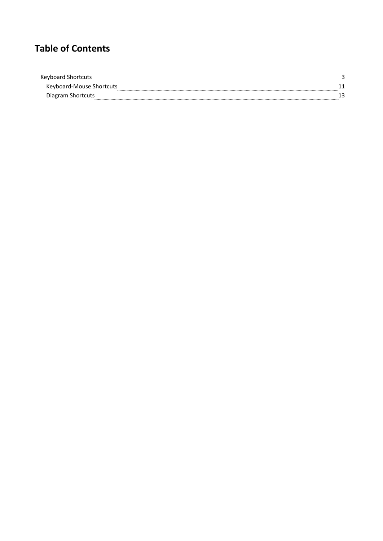# **Table of Contents**

| Keyboard                 |  |
|--------------------------|--|
| Keyboard-Mouse Shortcuts |  |
|                          |  |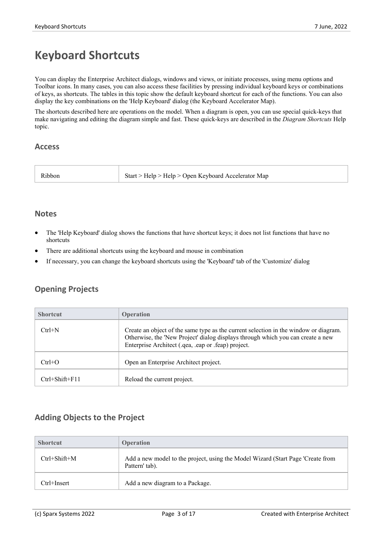# **Keyboard Shortcuts**

You can display the Enterprise Architect dialogs, windows and views, or initiate processes, using menu options and Toolbar icons. In many cases, you can also access these facilities by pressing individual keyboard keys orcombinations of keys, as shortcuts. The tables in this topic show the default keyboard shortcut for each of the functions. You can also display the key combinations on the 'Help Keyboard' dialog (the Keyboard Accelerator Map).

The shortcuts described here are operations on the model. When a diagram is open, you can use special quick-keys that make navigating and editing the diagram simple and fast.These quick-keys are described in the *Diagram Shortcuts* Help topic.

#### **Access**

| Start > Help > Help > Open Keyboard Accelerator Map<br>{1bbor |  |
|---------------------------------------------------------------|--|
|---------------------------------------------------------------|--|

#### **Notes**

- The 'Help Keyboard' dialog shows the functions that have shortcut keys; it does not list functions that have no shortcuts
- There are additional shortcuts using the keyboard and mouse in combination
- If necessary, you can change the keyboard shortcuts using the 'Keyboard' tab of the 'Customize' dialog

#### **Opening Projects**

| <b>Shortcut</b>      | <b>Operation</b>                                                                                                                                                                                                               |
|----------------------|--------------------------------------------------------------------------------------------------------------------------------------------------------------------------------------------------------------------------------|
| $Ctrl+N$             | Create an object of the same type as the current selection in the window or diagram.<br>Otherwise, the 'New Project' dialog displays through which you can create a new<br>Enterprise Architect (.qea, .eap or .feap) project. |
| $Ctrl + O$           | Open an Enterprise Architect project.                                                                                                                                                                                          |
| $Ctrl + Shift + F11$ | Reload the current project.                                                                                                                                                                                                    |

#### **Adding Objects to the Project**

| <b>Shortcut</b>    | <b>Operation</b>                                                                                  |
|--------------------|---------------------------------------------------------------------------------------------------|
| $Ctrl + Shift + M$ | Add a new model to the project, using the Model Wizard (Start Page 'Create from<br>Pattern' tab). |
| Ctrl+Insert        | Add a new diagram to a Package.                                                                   |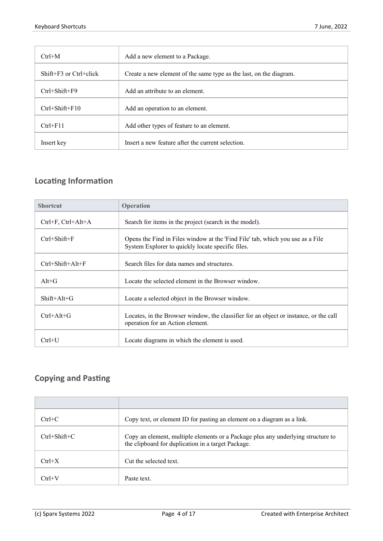| $Ctrl+M$                   | Add a new element to a Package.                                    |
|----------------------------|--------------------------------------------------------------------|
| $Shift+F3$ or $Ctrl+click$ | Create a new element of the same type as the last, on the diagram. |
| $Ctrl + Shift + F9$        | Add an attribute to an element.                                    |
| $Ctrl + Shift + F10$       | Add an operation to an element.                                    |
| $Ctrl + F11$               | Add other types of feature to an element.                          |
| Insert key                 | Insert a new feature after the current selection.                  |

# **Locating Information**

| <b>Shortcut</b>          | Operation                                                                                                                           |
|--------------------------|-------------------------------------------------------------------------------------------------------------------------------------|
| Ctrl+F, Ctrl+Alt+A       | Search for items in the project (search in the model).                                                                              |
| $Ctrl + Shift + F$       | Opens the Find in Files window at the 'Find File' tab, which you use as a File<br>System Explorer to quickly locate specific files. |
| $Ctrl + Shift + Alt + F$ | Search files for data names and structures.                                                                                         |
| $Alt+G$                  | Locate the selected element in the Browser window.                                                                                  |
| $Shift+Alt+G$            | Locate a selected object in the Browser window.                                                                                     |
| $Ctrl+Alt+G$             | Locates, in the Browser window, the classifier for an object or instance, or the call<br>operation for an Action element.           |
| $Ctrl+U$                 | Locate diagrams in which the element is used.                                                                                       |

#### **Copying and Pasting**

| $Ctrl + C$         | Copy text, or element ID for pasting an element on a diagram as a link.                                                                |
|--------------------|----------------------------------------------------------------------------------------------------------------------------------------|
| $Ctrl + Shift + C$ | Copy an element, multiple elements or a Package plus any underlying structure to<br>the clipboard for duplication in a target Package. |
| $Ctrl+X$           | Cut the selected text.                                                                                                                 |
| $Ctrl+V$           | Paste text.                                                                                                                            |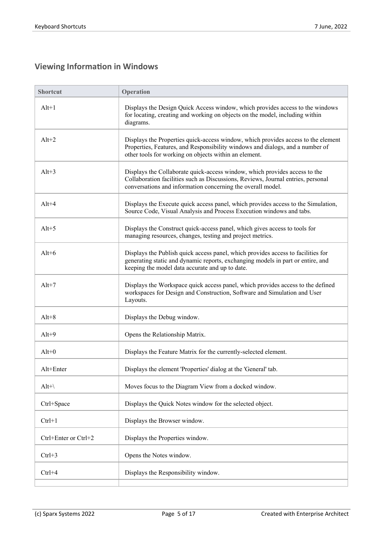## **Viewing Information in Windows**

| <b>Shortcut</b>      | Operation                                                                                                                                                                                                                     |
|----------------------|-------------------------------------------------------------------------------------------------------------------------------------------------------------------------------------------------------------------------------|
| $Alt+1$              | Displays the Design Quick Access window, which provides access to the windows<br>for locating, creating and working on objects on the model, including within<br>diagrams.                                                    |
| $Alt+2$              | Displays the Properties quick-access window, which provides access to the element<br>Properties, Features, and Responsibility windows and dialogs, and a number of<br>other tools for working on objects within an element.   |
| $Alt+3$              | Displays the Collaborate quick-access window, which provides access to the<br>Collaboration facilities such as Discussions, Reviews, Journal entries, personal<br>conversations and information concerning the overall model. |
| $Alt+4$              | Displays the Execute quick access panel, which provides access to the Simulation,<br>Source Code, Visual Analysis and Process Execution windows and tabs.                                                                     |
| $Alt+5$              | Displays the Construct quick-access panel, which gives access to tools for<br>managing resources, changes, testing and project metrics.                                                                                       |
| $Alt+6$              | Displays the Publish quick access panel, which provides access to facilities for<br>generating static and dynamic reports, exchanging models in part or entire, and<br>keeping the model data accurate and up to date.        |
| $Alt+7$              | Displays the Workspace quick access panel, which provides access to the defined<br>workspaces for Design and Construction, Software and Simulation and User<br>Layouts.                                                       |
| $Alt+8$              | Displays the Debug window.                                                                                                                                                                                                    |
| $Alt+9$              | Opens the Relationship Matrix.                                                                                                                                                                                                |
| $Alt+0$              | Displays the Feature Matrix for the currently-selected element.                                                                                                                                                               |
| Alt+Enter            | Displays the element 'Properties' dialog at the 'General' tab.                                                                                                                                                                |
| $Alt+$               | Moves focus to the Diagram View from a docked window.                                                                                                                                                                         |
| Ctrl+Space           | Displays the Quick Notes window for the selected object.                                                                                                                                                                      |
| $Ctrl + 1$           | Displays the Browser window.                                                                                                                                                                                                  |
| Ctrl+Enter or Ctrl+2 | Displays the Properties window.                                                                                                                                                                                               |
| $Ctrl + 3$           | Opens the Notes window.                                                                                                                                                                                                       |
| $Ctrl + 4$           | Displays the Responsibility window.                                                                                                                                                                                           |
|                      |                                                                                                                                                                                                                               |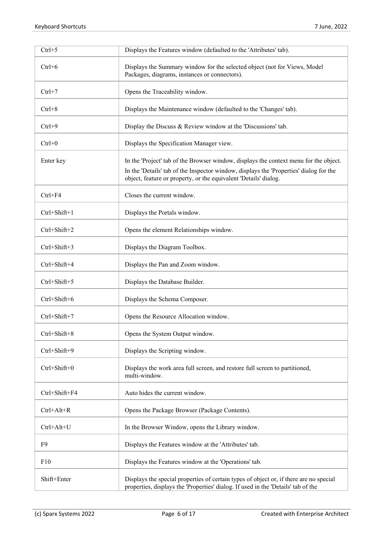| $Ctrl + 5$    | Displays the Features window (defaulted to the 'Attributes' tab).                                                                                                                                                                                   |
|---------------|-----------------------------------------------------------------------------------------------------------------------------------------------------------------------------------------------------------------------------------------------------|
| $Ctrl + 6$    | Displays the Summary window for the selected object (not for Views, Model<br>Packages, diagrams, instances or connectors).                                                                                                                          |
| $Ctrl + 7$    | Opens the Traceability window.                                                                                                                                                                                                                      |
| $Ctrl + 8$    | Displays the Maintenance window (defaulted to the 'Changes' tab).                                                                                                                                                                                   |
| $Ctrl + 9$    | Display the Discuss $\&$ Review window at the 'Discussions' tab.                                                                                                                                                                                    |
| $Ctrl + 0$    | Displays the Specification Manager view.                                                                                                                                                                                                            |
| Enter key     | In the 'Project' tab of the Browser window, displays the context menu for the object.<br>In the 'Details' tab of the Inspector window, displays the 'Properties' dialog for the<br>object, feature or property, or the equivalent 'Details' dialog. |
| $Ctrl + F4$   | Closes the current window.                                                                                                                                                                                                                          |
| Ctrl+Shift+1  | Displays the Portals window.                                                                                                                                                                                                                        |
| Ctrl+Shift+2  | Opens the element Relationships window.                                                                                                                                                                                                             |
| Ctrl+Shift+3  | Displays the Diagram Toolbox.                                                                                                                                                                                                                       |
| Ctrl+Shift+4  | Displays the Pan and Zoom window.                                                                                                                                                                                                                   |
| Ctrl+Shift+5  | Displays the Database Builder.                                                                                                                                                                                                                      |
| Ctrl+Shift+6  | Displays the Schema Composer.                                                                                                                                                                                                                       |
| Ctrl+Shift+7  | Opens the Resource Allocation window.                                                                                                                                                                                                               |
| Ctrl+Shift+8  | Opens the System Output window.                                                                                                                                                                                                                     |
| Ctrl+Shift+9  | Displays the Scripting window.                                                                                                                                                                                                                      |
| Ctrl+Shift+0  | Displays the work area full screen, and restore full screen to partitioned,<br>multi-window.                                                                                                                                                        |
| Ctrl+Shift+F4 | Auto hides the current window.                                                                                                                                                                                                                      |
| $Ctrl+Alt+R$  | Opens the Package Browser (Package Contents).                                                                                                                                                                                                       |
| Ctrl+Alt+U    | In the Browser Window, opens the Library window.                                                                                                                                                                                                    |
| F9            | Displays the Features window at the 'Attributes' tab.                                                                                                                                                                                               |
| F10           | Displays the Features window at the 'Operations' tab.                                                                                                                                                                                               |
| Shift+Enter   | Displays the special properties of certain types of object or, if there are no special<br>properties, displays the 'Properties' dialog. If used in the 'Details' tab of the                                                                         |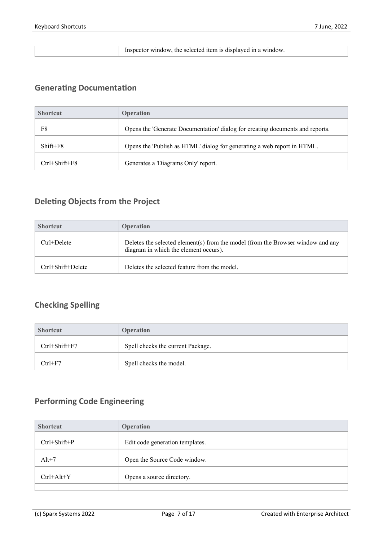#### Inspector window, the selected item is displayed in a window.

# **Generating Documentation**

| <b>Shortcut</b>     | <b>Operation</b>                                                              |
|---------------------|-------------------------------------------------------------------------------|
| F8                  | Opens the 'Generate Documentation' dialog for creating documents and reports. |
| $Shift+F8$          | Opens the 'Publish as HTML' dialog for generating a web report in HTML.       |
| $Ctrl + Shift + F8$ | Generates a 'Diagrams Only' report.                                           |

#### **Deleting Objects from the Project**

| <b>Shortcut</b>         | <b>Operation</b>                                                                                                         |
|-------------------------|--------------------------------------------------------------------------------------------------------------------------|
| $Ctrl+Delete$           | Deletes the selected element(s) from the model (from the Browser window and any<br>diagram in which the element occurs). |
| $Ctrl + Shift + Delete$ | Deletes the selected feature from the model.                                                                             |

#### **Checking Spelling**

| <b>Shortcut</b>     | <b>Operation</b>                  |
|---------------------|-----------------------------------|
| $Ctrl + Shift + F7$ | Spell checks the current Package. |
| $Ctrl + F7$         | Spell checks the model.           |

#### **Performing Code Engineering**

| <b>Shortcut</b>    | Operation                       |
|--------------------|---------------------------------|
| $Ctrl + Shift + P$ | Edit code generation templates. |
| $Alt+7$            | Open the Source Code window.    |
| $Ctrl+Alt+Y$       | Opens a source directory.       |
|                    |                                 |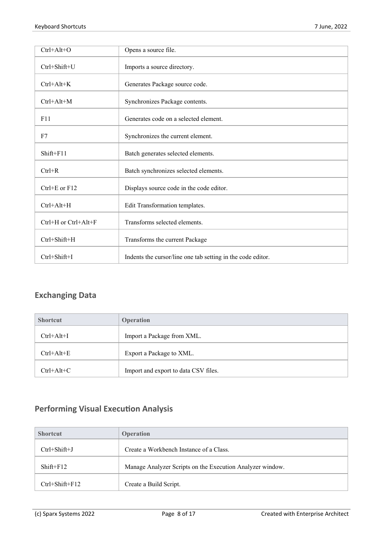| $Ctrl+Alt+O$         | Opens a source file.                                        |
|----------------------|-------------------------------------------------------------|
| Ctrl+Shift+U         | Imports a source directory.                                 |
| $Ctrl + Alt + K$     | Generates Package source code.                              |
| $Ctrl+Alt+M$         | Synchronizes Package contents.                              |
| F11                  | Generates code on a selected element.                       |
| F7                   | Synchronizes the current element.                           |
| $Shift+F11$          | Batch generates selected elements.                          |
| $Ctrl + R$           | Batch synchronizes selected elements.                       |
| $Ctrl + E$ or $F12$  | Displays source code in the code editor.                    |
| Ctrl+Alt+H           | Edit Transformation templates.                              |
| Ctrl+H or Ctrl+Alt+F | Transforms selected elements.                               |
| Ctrl+Shift+H         | Transforms the current Package                              |
| Ctrl+Shift+I         | Indents the cursor/line one tab setting in the code editor. |

#### **Exchanging Data**

| <b>Shortcut</b> | <b>Operation</b>                     |
|-----------------|--------------------------------------|
| $Ctrl+Alt+I$    | Import a Package from XML.           |
| $Ctrl+Alt+E$    | Export a Package to XML.             |
| $Ctrl+Alt+C$    | Import and export to data CSV files. |

## **Performing Visual Execution Analysis**

| <b>Shortcut</b>      | <b>Operation</b>                                          |
|----------------------|-----------------------------------------------------------|
| $Ctrl + Shift + J$   | Create a Workbench Instance of a Class.                   |
| $Shift + F12$        | Manage Analyzer Scripts on the Execution Analyzer window. |
| $Ctrl + Shift + F12$ | Create a Build Script.                                    |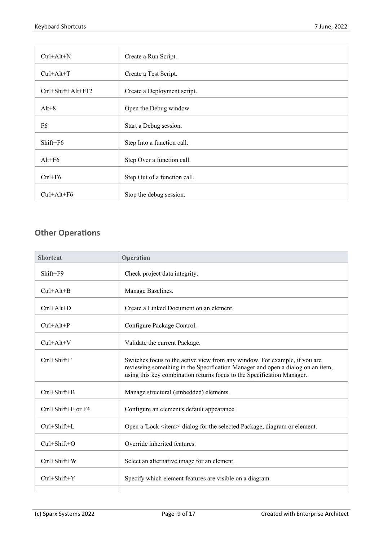| $Ctrl+Alt+N$       | Create a Run Script.         |
|--------------------|------------------------------|
| $Ctrl+Alt+T$       | Create a Test Script.        |
| Ctrl+Shift+Alt+F12 | Create a Deployment script.  |
| $Alt+8$            | Open the Debug window.       |
| F6                 | Start a Debug session.       |
| Shift+F6           | Step Into a function call.   |
| $Alt+F6$           | Step Over a function call.   |
| $Ctrl + F6$        | Step Out of a function call. |
| $Ctrl+Alt+F6$      | Stop the debug session.      |

#### **Other Operations**

| <b>Shortcut</b>            | Operation                                                                                                                                                                                                                              |
|----------------------------|----------------------------------------------------------------------------------------------------------------------------------------------------------------------------------------------------------------------------------------|
| Shift+F9                   | Check project data integrity.                                                                                                                                                                                                          |
| $Ctrl+Alt+B$               | Manage Baselines.                                                                                                                                                                                                                      |
| $Ctrl+Alt+D$               | Create a Linked Document on an element.                                                                                                                                                                                                |
| $Ctrl+Alt+P$               | Configure Package Control.                                                                                                                                                                                                             |
| $Ctrl+Alt+V$               | Validate the current Package.                                                                                                                                                                                                          |
| $Ctrl + Shift +$           | Switches focus to the active view from any window. For example, if you are<br>reviewing something in the Specification Manager and open a dialog on an item,<br>using this key combination returns focus to the Specification Manager. |
| Ctrl+Shift+B               | Manage structural (embedded) elements.                                                                                                                                                                                                 |
| $Ctrl + Shift + E$ or $F4$ | Configure an element's default appearance.                                                                                                                                                                                             |
| Ctrl+Shift+L               | Open a 'Lock <item>' dialog for the selected Package, diagram or element.</item>                                                                                                                                                       |
| $Ctrl + Shift + O$         | Override inherited features.                                                                                                                                                                                                           |
| Ctrl+Shift+W               | Select an alternative image for an element.                                                                                                                                                                                            |
| Ctrl+Shift+Y               | Specify which element features are visible on a diagram.                                                                                                                                                                               |
|                            |                                                                                                                                                                                                                                        |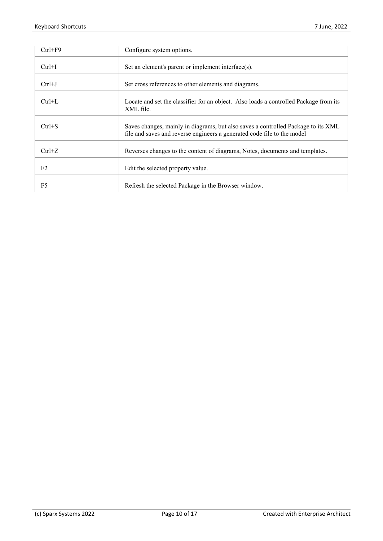| $Ctrl + F9$    | Configure system options.                                                                                                                                    |
|----------------|--------------------------------------------------------------------------------------------------------------------------------------------------------------|
| $Ctrl+I$       | Set an element's parent or implement interface(s).                                                                                                           |
| $Ctrl+J$       | Set cross references to other elements and diagrams.                                                                                                         |
| $Ctrl+L$       | Locate and set the classifier for an object. Also loads a controlled Package from its<br>XML file.                                                           |
| $Ctrl + S$     | Saves changes, mainly in diagrams, but also saves a controlled Package to its XML<br>file and saves and reverse engineers a generated code file to the model |
| $Ctrl + Z$     | Reverses changes to the content of diagrams, Notes, documents and templates.                                                                                 |
| F <sub>2</sub> | Edit the selected property value.                                                                                                                            |
| F <sub>5</sub> | Refresh the selected Package in the Browser window.                                                                                                          |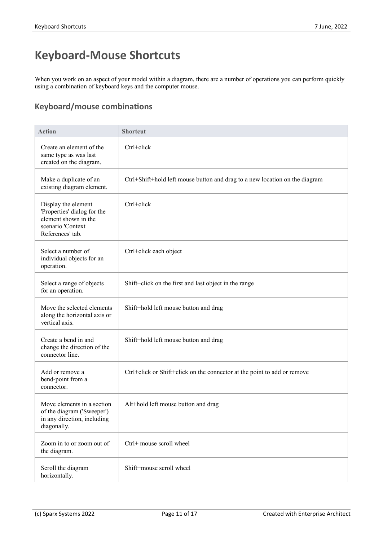# **Keyboard-Mouse Shortcuts**

When you work on an aspect of your model within a diagram, there are a number of operations you can perform quickly using a combination of keyboard keys and the computer mouse.

## **Keyboard/mouse combinations**

| <b>Action</b>                                                                                                       | <b>Shortcut</b>                                                             |
|---------------------------------------------------------------------------------------------------------------------|-----------------------------------------------------------------------------|
| Create an element of the<br>same type as was last<br>created on the diagram.                                        | Ctrl+click                                                                  |
| Make a duplicate of an<br>existing diagram element.                                                                 | Ctrl+Shift+hold left mouse button and drag to a new location on the diagram |
| Display the element<br>'Properties' dialog for the<br>element shown in the<br>scenario 'Context<br>References' tab. | Ctrl+click                                                                  |
| Select a number of<br>individual objects for an<br>operation.                                                       | Ctrl+click each object                                                      |
| Select a range of objects<br>for an operation.                                                                      | Shift+click on the first and last object in the range                       |
| Move the selected elements<br>along the horizontal axis or<br>vertical axis.                                        | Shift+hold left mouse button and drag                                       |
| Create a bend in and<br>change the direction of the<br>connector line.                                              | Shift+hold left mouse button and drag                                       |
| Add or remove a<br>bend-point from a<br>connector.                                                                  | Ctrl+click or Shift+click on the connector at the point to add or remove    |
| Move elements in a section<br>of the diagram ('Sweeper')<br>in any direction, including<br>diagonally.              | Alt+hold left mouse button and drag                                         |
| Zoom in to or zoom out of<br>the diagram.                                                                           | Ctrl+ mouse scroll wheel                                                    |
| Scroll the diagram<br>horizontally.                                                                                 | Shift+mouse scroll wheel                                                    |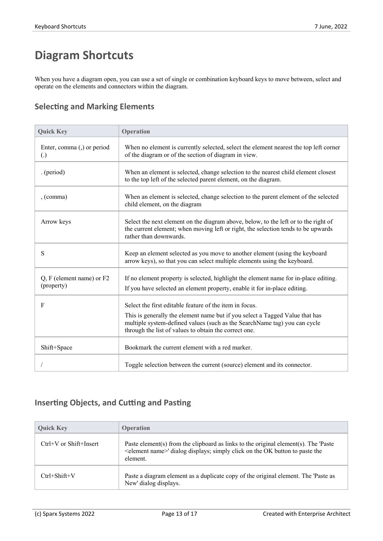# **Diagram Shortcuts**

When you have a diagram open, you can use a set of single or combination keyboard keys to move between, select and operate on the elements and connectors within the diagram.

#### **Selecting and Marking Elements**

| <b>Quick Key</b>                                | Operation                                                                                                                                                                                                                                                                     |
|-------------------------------------------------|-------------------------------------------------------------------------------------------------------------------------------------------------------------------------------------------------------------------------------------------------------------------------------|
| Enter, comma (,) or period<br>$\left( .\right)$ | When no element is currently selected, select the element nearest the top left corner<br>of the diagram or of the section of diagram in view.                                                                                                                                 |
| . (period)                                      | When an element is selected, change selection to the nearest child element closest<br>to the top left of the selected parent element, on the diagram.                                                                                                                         |
| , (command)                                     | When an element is selected, change selection to the parent element of the selected<br>child element, on the diagram                                                                                                                                                          |
| Arrow keys                                      | Select the next element on the diagram above, below, to the left or to the right of<br>the current element; when moving left or right, the selection tends to be upwards<br>rather than downwards.                                                                            |
| S                                               | Keep an element selected as you move to another element (using the keyboard<br>arrow keys), so that you can select multiple elements using the keyboard.                                                                                                                      |
| $Q, F$ (element name) or $F2$<br>(property)     | If no element property is selected, highlight the element name for in-place editing.<br>If you have selected an element property, enable it for in-place editing.                                                                                                             |
| F                                               | Select the first editable feature of the item in focus.<br>This is generally the element name but if you select a Tagged Value that has<br>multiple system-defined values (such as the SearchName tag) you can cycle<br>through the list of values to obtain the correct one. |
| Shift+Space                                     | Bookmark the current element with a red marker.                                                                                                                                                                                                                               |
|                                                 | Toggle selection between the current (source) element and its connector.                                                                                                                                                                                                      |

#### **Inserting Objects, and Cutting and Pasting**

| <b>Ouick Key</b>           | <b>Operation</b>                                                                                                                                                                             |
|----------------------------|----------------------------------------------------------------------------------------------------------------------------------------------------------------------------------------------|
| $Ctrl+V$ or $Shift+Insert$ | Paste element(s) from the clipboard as links to the original element(s). The 'Paste<br><element name="">' dialog displays; simply click on the OK button to paste the<br/>element.</element> |
| $Ctrl + Shift + V$         | Paste a diagram element as a duplicate copy of the original element. The 'Paste as<br>New' dialog displays.                                                                                  |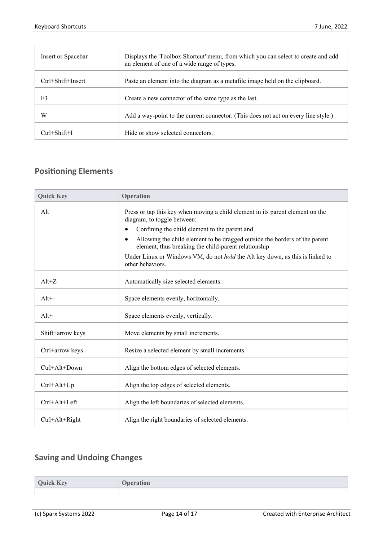| Insert or Spacebar      | Displays the 'Toolbox Shortcut' menu, from which you can select to create and add<br>an element of one of a wide range of types. |
|-------------------------|----------------------------------------------------------------------------------------------------------------------------------|
| $Ctrl + Shift + Insert$ | Paste an element into the diagram as a metafile image held on the clipboard.                                                     |
| F3                      | Create a new connector of the same type as the last.                                                                             |
| W                       | Add a way-point to the current connector. (This does not act on every line style.)                                               |
| Ctrl+Shift+I            | Hide or show selected connectors.                                                                                                |

#### **Positioning Elements**

| <b>Quick Key</b> | Operation                                                                                                                                       |
|------------------|-------------------------------------------------------------------------------------------------------------------------------------------------|
| Alt              | Press or tap this key when moving a child element in its parent element on the<br>diagram, to toggle between:                                   |
|                  | Confining the child element to the parent and<br>٠                                                                                              |
|                  | Allowing the child element to be dragged outside the borders of the parent<br>$\bullet$<br>element, thus breaking the child-parent relationship |
|                  | Under Linux or Windows VM, do not <i>hold</i> the Alt key down, as this is linked to<br>other behaviors.                                        |
| $Alt+Z$          | Automatically size selected elements.                                                                                                           |
| $Alt+$           | Space elements evenly, horizontally.                                                                                                            |
| $Alt ==$         | Space elements evenly, vertically.                                                                                                              |
| Shift+arrow keys | Move elements by small increments.                                                                                                              |
| Ctrl+arrow keys  | Resize a selected element by small increments.                                                                                                  |
| $Ctrl+Alt+Down$  | Align the bottom edges of selected elements.                                                                                                    |
| $Ctrl+Alt+Up$    | Align the top edges of selected elements.                                                                                                       |
| Ctrl+Alt+Left    | Align the left boundaries of selected elements.                                                                                                 |
| Ctrl+Alt+Right   | Align the right boundaries of selected elements.                                                                                                |

## **Saving and Undoing Changes**

| <b>Quick Key</b> | <b>Operation</b> |
|------------------|------------------|
|                  |                  |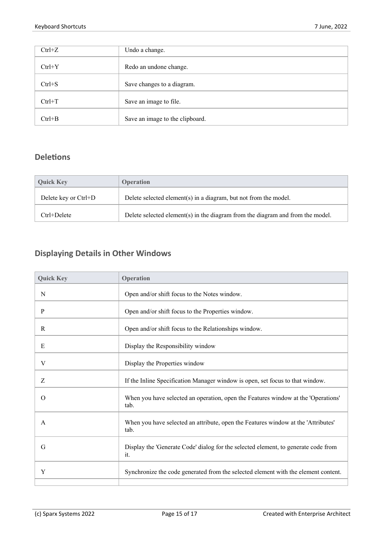| $Ctrl+Z$   | Undo a change.                  |
|------------|---------------------------------|
| $Ctrl+Y$   | Redo an undone change.          |
| $Ctrl + S$ | Save changes to a diagram.      |
| $Ctrl+T$   | Save an image to file.          |
| $Ctrl + B$ | Save an image to the clipboard. |

#### **Deletions**

| <b>Ouick Key</b>     | <b>Operation</b>                                                               |
|----------------------|--------------------------------------------------------------------------------|
| Delete key or Ctrl+D | Delete selected element(s) in a diagram, but not from the model.               |
| Ctrl+Delete          | Delete selected element(s) in the diagram from the diagram and from the model. |

## **Displaying Details in Other Windows**

| <b>Quick Key</b> | Operation                                                                                 |
|------------------|-------------------------------------------------------------------------------------------|
| N                | Open and/or shift focus to the Notes window.                                              |
| P                | Open and/or shift focus to the Properties window.                                         |
| R                | Open and/or shift focus to the Relationships window.                                      |
| Е                | Display the Responsibility window                                                         |
| V                | Display the Properties window                                                             |
| Z                | If the Inline Specification Manager window is open, set focus to that window.             |
| $\Omega$         | When you have selected an operation, open the Features window at the 'Operations'<br>tab. |
| A                | When you have selected an attribute, open the Features window at the 'Attributes'<br>tab. |
| G                | Display the 'Generate Code' dialog for the selected element, to generate code from<br>it. |
| Y                | Synchronize the code generated from the selected element with the element content.        |
|                  |                                                                                           |